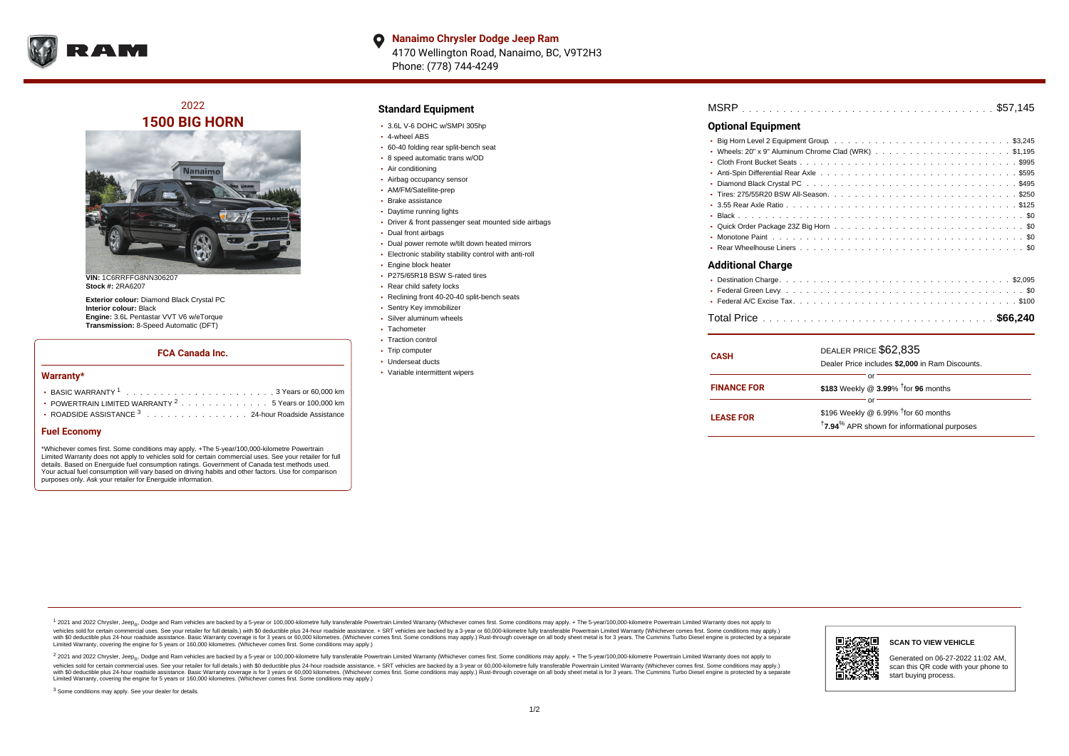

**Nanaimo Chrysler Dodge Jeep Ram**  $\bullet$ 4170 Wellington Road, Nanaimo, BC, V9T2H3 Phone: (778) 744-4249

2022 **1500 BIG HORN**



**VIN:** 1C6RRFFG8NN306207 **Stock #:** 2RA6207

**Exterior colour:** Diamond Black Crystal PC **Interior colour:** Black **Engine:** 3.6L Pentastar VVT V6 w/eTorque **Transmission:** 8-Speed Automatic (DFT)

### **FCA Canada Inc.**

#### **Warranty\***

| • POWERTRAIN LIMITED WARRANTY $2, \ldots, \ldots, \ldots, \ldots, 5$ Years or 100,000 km |
|------------------------------------------------------------------------------------------|
| • ROADSIDE ASSISTANCE 3 24-hour Roadside Assistance                                      |

## **Fuel Economy**

\*Whichever comes first. Some conditions may apply. +The 5-year/100,000-kilometre Powertrain Limited Warranty does not apply to vehicles sold for certain commercial uses. See your retailer for full details. Based on Energuide fuel consumption ratings. Government of Canada test methods used. Your actual fuel consumption will vary based on driving habits and other factors. Use for comparison purposes only. Ask your retailer for Energuide information.

## **Standard Equipment**

- 3.6L V-6 DOHC w/SMPI 305hp
- 4-wheel ABS
- 60-40 folding rear split-bench seat
- 8 speed automatic trans w/OD
- Air conditioning
- Airbag occupancy sensor
- AM/FM/Satellite-prep
- Brake assistance
- Daytime running lights
- Driver & front passenger seat mounted side airbags
- Dual front airbags
- Dual power remote w/tilt down heated mirrors
- Electronic stability stability control with anti-roll
- **Engine block heater**
- P275/65R18 BSW S-rated tires
- Rear child safety locks
- Reclining front 40-20-40 split-bench seats
- Sentry Key immobilizer
- Silver aluminum wheels
- Tachometer
- Traction control
- Trip computer
- Underseat ducts
- Variable intermittent wipers

| MSRP |  |
|------|--|
|------|--|

# **Optional Equipment**

| <b>Additional Charge</b> |  |
|--------------------------|--|
|                          |  |
|                          |  |
|                          |  |
|                          |  |
|                          |  |
|                          |  |
|                          |  |

| <b>CASH</b>        | DEALER PRICE \$62,835<br>Dealer Price includes \$2,000 in Ram Discounts.                                                     |
|--------------------|------------------------------------------------------------------------------------------------------------------------------|
| <b>FINANCE FOR</b> | or<br>\$183 Weekly @ 3.99% <sup>†</sup> for 96 months                                                                        |
| <b>LEASE FOR</b>   | or<br>\$196 Weekly @ 6.99% <sup>†</sup> for 60 months<br><sup>†</sup> 7.94 <sup>%</sup> APR shown for informational purposes |

<sup>1</sup> 2021 and 2022 Chrysler, Jeep<sub>®</sub>, Dodge and Ram vehicles are backed by a 5-year or 100,000-kilometre fully transferable Powertrain Limited Warranty (Whichever comes first. Some conditions may apply. + The 5-year/100,000 vehicles sold for certain commercial uses. See your retailer for full details.) with \$0 deductible plus 24 hour roadside assistance. + SRT vehicles are backed by a 3-year or 60,000-kilometre fully transferable Powertrain L versus and contract the mean of the contract of the contract with a contract with a contract the contract of the contract of the contract the contract of the contract of the contract of the contract of the contract of the Limited Warranty, covering the engine for 5 years or 160,000 kilometres. (Whichever comes first. Some conditions may apply.)

2 2021 and 2022 Chrysler, Jeep<sub>®</sub>, Dodge and Ram vehicles are backed by a 5-year or 100,000-kilometre fully transferable Powertrain Limited Warranty (Whichever comes first. Some conditions may apply. + The 5-year/100,000-k vehicles sold for certain commercial uses. See your retailer for full details.) with SO deductible plus 24-hour roadside assistance. + SRT vehicles are backed by a 3-year or 60.000-kilometre fully transferable Powertrain. with S0 deductible plus 24-hour roadside assistance. Basic Warranty coverage is for 3 years or 60,000 kilometres. (Whichever comes first. Some conditions may apply.) Rust-through coverage on all body sheet metal is for 3 y



#### **SCAN TO VIEW VEHICLE**

Generated on 06-27-2022 11:02 AM, scan this QR code with your phone to start buying process.

<sup>3</sup> Some conditions may apply. See your dealer for details.